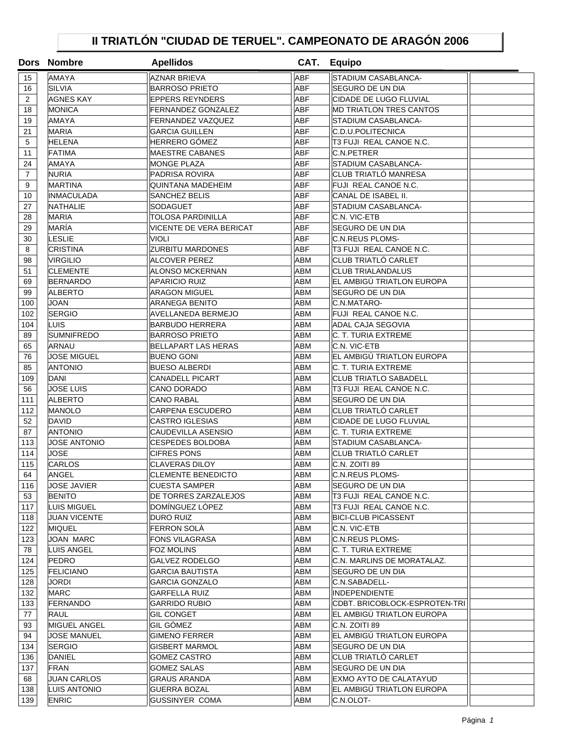## **II TRIATLÓN "CIUDAD DE TERUEL". CAMPEONATO DE ARAGÓN 2006**

|                | Dors Nombre         | <b>Apellidos</b>          |            | CAT. Equipo                    |  |
|----------------|---------------------|---------------------------|------------|--------------------------------|--|
| 15             | <b>AMAYA</b>        | <b>AZNAR BRIEVA</b>       | <b>ABF</b> | STADIUM CASABLANCA-            |  |
| 16             | <b>SILVIA</b>       | <b>BARROSO PRIETO</b>     | ABF        | SEGURO DE UN DIA               |  |
| $\overline{2}$ | <b>AGNES KAY</b>    | <b>EPPERS REYNDERS</b>    | <b>ABF</b> | CIDADE DE LUGO FLUVIAL         |  |
| 18             | <b>MONICA</b>       | <b>FERNANDEZ GONZALEZ</b> | <b>ABF</b> | <b>MD TRIATLON TRES CANTOS</b> |  |
| 19             | <b>AMAYA</b>        | <b>FERNANDEZ VAZQUEZ</b>  | <b>ABF</b> | STADIUM CASABLANCA-            |  |
| 21             | <b>MARIA</b>        | GARCIA GUILLEN            | <b>ABF</b> | C.D.U.POLITECNICA              |  |
| 5              | <b>HELENA</b>       | HERRERO GÓMEZ             | <b>ABF</b> | T3 FUJI REAL CANOE N.C.        |  |
| 11             | FATIMA              | <b>MAESTRE CABANES</b>    | <b>ABF</b> | C.N.PETRER                     |  |
| 24             | <b>AMAYA</b>        | <b>MONGE PLAZA</b>        | <b>ABF</b> | STADIUM CASABLANCA-            |  |
| $\overline{7}$ | <b>NURIA</b>        | <b>PADRISA ROVIRA</b>     | <b>ABF</b> | CLUB TRIATLÓ MANRESA           |  |
| 9              | <b>MARTINA</b>      | <b>QUINTANA MADEHEIM</b>  | <b>ABF</b> | FUJI REAL CANOE N.C.           |  |
| 10             | <b>INMACULADA</b>   | SANCHEZ BELIS             | <b>ABF</b> | CANAL DE ISABEL II.            |  |
| 27             | <b>NATHALIE</b>     | SODAGUET                  | <b>ABF</b> | STADIUM CASABLANCA-            |  |
| 28             | <b>MARIA</b>        | <b>TOLOSA PARDINILLA</b>  | <b>ABF</b> | C.N. VIC-ETB                   |  |
| 29             | MARÍA               | VICENTE DE VERA BERICAT   | <b>ABF</b> | SEGURO DE UN DIA               |  |
| 30             | LESLIE              | VIOLI                     | <b>ABF</b> | <b>C.N.REUS PLOMS-</b>         |  |
| 8              | <b>CRISTINA</b>     | <b>ZURBITU MARDONES</b>   | <b>ABF</b> | T3 FUJI REAL CANOE N.C.        |  |
| 98             | VIRGILIO            | <b>ALCOVER PEREZ</b>      | ABM        | <b>CLUB TRIATLÓ CARLET</b>     |  |
| 51             | <b>CLEMENTE</b>     | ALONSO MCKERNAN           | ABM        | <b>CLUB TRIALANDALUS</b>       |  |
| 69             | <b>BERNARDO</b>     | <b>APARICIO RUIZ</b>      | <b>ABM</b> | EL AMBIGÚ TRIATLON EUROPA      |  |
| 99             | <b>ALBERTO</b>      | <b>ARAGON MIGUEL</b>      | <b>ABM</b> | SEGURO DE UN DIA               |  |
| 100            | <b>JOAN</b>         | <b>ARANEGA BENITO</b>     | <b>ABM</b> | C.N.MATARO-                    |  |
| 102            | <b>SERGIO</b>       | AVELLANEDA BERMEJO        | <b>ABM</b> | FUJI REAL CANOE N.C.           |  |
| 104            | LUIS                | <b>BARBUDO HERRERA</b>    | <b>ABM</b> | <b>ADAL CAJA SEGOVIA</b>       |  |
| 89             | <b>SUMNIFREDO</b>   | <b>BARROSO PRIETO</b>     | ABM        | C. T. TURIA EXTREME            |  |
| 65             | <b>ARNAU</b>        | BELLAPART LAS HERAS       | <b>ABM</b> | C.N. VIC-ETB                   |  |
| 76             | JOSE MIGUEL         | BUENO GONI                | ABM        | EL AMBIGÚ TRIATLON EUROPA      |  |
| 85             | <b>ANTONIO</b>      | BUESO ALBERDI             | <b>ABM</b> | C. T. TURIA EXTREME            |  |
| 109            | DANI                | CANADELL PICART           | <b>ABM</b> | <b>CLUB TRIATLO SABADELL</b>   |  |
| 56             | <b>JOSE LUIS</b>    | CANO DORADO               | <b>ABM</b> | T3 FUJI REAL CANOE N.C.        |  |
| 111            | <b>ALBERTO</b>      | <b>CANO RABAL</b>         | <b>ABM</b> | SEGURO DE UN DIA               |  |
| 112            | <b>MANOLO</b>       | <b>CARPENA ESCUDERO</b>   | <b>ABM</b> | CLUB TRIATLÓ CARLET            |  |
| 52             | <b>DAVID</b>        | <b>CASTRO IGLESIAS</b>    | <b>ABM</b> | CIDADE DE LUGO FLUVIAL         |  |
| 87             | <b>ANTONIO</b>      | CAUDEVILLA ASENSIO        | <b>ABM</b> | C. T. TURIA EXTREME            |  |
| 113            | <b>JOSE ANTONIO</b> | <b>CESPEDES BOLDOBA</b>   | <b>ABM</b> | STADIUM CASABLANCA-            |  |
| 114            | JOSE                | <b>CIFRES PONS</b>        | <b>ABM</b> | CLUB TRIATLÓ CARLET            |  |
| 115            | <b>CARLOS</b>       | <b>CLAVERAS DILOY</b>     | <b>ABM</b> | C.N. ZOITI 89                  |  |
| 64             | ANGEL               | <b>CLEMENTE BENEDICTO</b> | ABM        | <b>C.N.REUS PLOMS-</b>         |  |
| 116            | JOSE JAVIER         | <b>CUESTA SAMPER</b>      | <b>ABM</b> | SEGURO DE UN DIA               |  |
| 53             | <b>BENITO</b>       | DE TORRES ZARZALEJOS      | <b>ABM</b> | T3 FUJI REAL CANOE N.C.        |  |
| 117            | <b>LUIS MIGUEL</b>  | DOMÍNGUEZ LÓPEZ           | <b>ABM</b> | T3 FUJI REAL CANOE N.C.        |  |
| 118            | <b>JUAN VICENTE</b> | DURO RUIZ                 | <b>ABM</b> | <b>BICI-CLUB PICASSENT</b>     |  |
| 122            | <b>MIQUEL</b>       | <b>FERRON SOLA</b>        | ABM        | C.N. VIC-ETB                   |  |
| 123            | JOAN MARC           | FONS VILAGRASA            | ABM        | C.N.REUS PLOMS-                |  |
| 78             | LUIS ANGEL          | <b>FOZ MOLINS</b>         | ABM        | C. T. TURIA EXTREME            |  |
| 124            | <b>PEDRO</b>        | GALVEZ RODELGO            | ABM        | C.N. MARLINS DE MORATALAZ.     |  |
| 125            | <b>FELICIANO</b>    | GARCIA BAUTISTA           | ABM        | SEGURO DE UN DIA               |  |
| 128            | JORDI               | <b>GARCIA GONZALO</b>     | ABM        | C.N.SABADELL-                  |  |
| 132            | <b>MARC</b>         | GARFELLA RUIZ             | ABM        | <b>INDEPENDIENTE</b>           |  |
| 133            | FERNANDO            | GARRIDO RUBIO             | ABM        | CDBT. BRICOBLOCK-ESPROTEN-TRI  |  |
| 77             | RAUL                | <b>GIL CONGET</b>         | ABM        | EL AMBIGÚ TRIATLON EUROPA      |  |
| 93             | <b>MIGUEL ANGEL</b> | GIL GÓMEZ                 | ABM        | C.N. ZOITI 89                  |  |
| 94             | JOSE MANUEL         | <b>GIMENO FERRER</b>      | ABM        | EL AMBIGÚ TRIATLON EUROPA      |  |
| 134            | <b>SERGIO</b>       | GISBERT MARMOL            | ABM        | SEGURO DE UN DIA               |  |
| 136            | DANIEL              | GOMEZ CASTRO              | ABM        | CLUB TRIATLÓ CARLET            |  |
| 137            | FRAN                | <b>GOMEZ SALAS</b>        | <b>ABM</b> | SEGURO DE UN DIA               |  |
| 68             | <b>JUAN CARLOS</b>  | <b>GRAUS ARANDA</b>       | ABM        | EXMO AYTO DE CALATAYUD         |  |
| 138            | LUIS ANTONIO        | <b>GUERRA BOZAL</b>       | ABM        | EL AMBIGU TRIATLON EUROPA      |  |
| 139            | <b>ENRIC</b>        | GUSSINYER COMA            | ABM        | C.N.OLOT-                      |  |
|                |                     |                           |            |                                |  |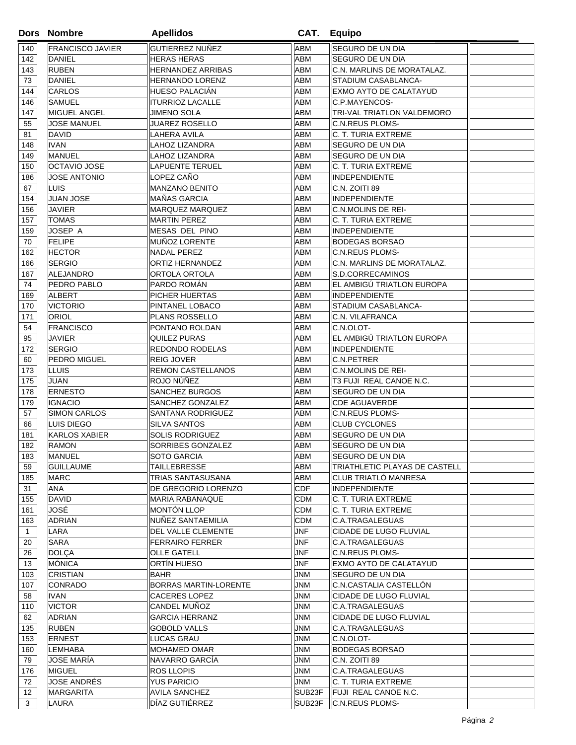|              | Dors Nombre                      | <b>Apellidos</b>                          |                          | CAT. Equipo                                     |  |
|--------------|----------------------------------|-------------------------------------------|--------------------------|-------------------------------------------------|--|
| 140          | <b>FRANCISCO JAVIER</b>          | GUTIERREZ NUÑEZ                           | ABM                      | SEGURO DE UN DIA                                |  |
| 142          | DANIEL                           | <b>HERAS HERAS</b>                        | ABM                      | <b>SEGURO DE UN DIA</b>                         |  |
| 143          | <b>RUBEN</b>                     | <b>HERNANDEZ ARRIBAS</b>                  | <b>ABM</b>               | C.N. MARLINS DE MORATALAZ.                      |  |
| 73           | DANIEL                           | <b>HERNANDO LORENZ</b>                    | ABM                      | STADIUM CASABLANCA-                             |  |
| 144          | <b>CARLOS</b>                    | <b>HUESO PALACIÁN</b>                     | ABM                      | EXMO AYTO DE CALATAYUD                          |  |
| 146          | SAMUEL                           | <b>ITURRIOZ LACALLE</b>                   | <b>ABM</b>               | C.P.MAYENCOS-                                   |  |
| 147          | MIGUEL ANGEL                     | JIMENO SOLA                               | ABM                      | TRI-VAL TRIATLON VALDEMORO                      |  |
| 55           | JOSE MANUEL                      | <b>JUAREZ ROSELLO</b>                     | <b>ABM</b>               | <b>C.N.REUS PLOMS-</b>                          |  |
| 81           | DAVID                            | LAHERA AVILA                              | <b>ABM</b>               | C. T. TURIA EXTREME                             |  |
| 148          | IVAN                             | LAHOZ LIZANDRA                            | <b>ABM</b>               | SEGURO DE UN DIA                                |  |
| 149          | <b>MANUEL</b>                    | LAHOZ LIZANDRA                            | <b>ABM</b>               | SEGURO DE UN DIA                                |  |
| 150          | <b>OCTAVIO JOSE</b>              | <b>LAPUENTE TERUEL</b>                    | <b>ABM</b>               | C. T. TURIA EXTREME                             |  |
| 186          | <b>JOSE ANTONIO</b>              | LOPEZ CAÑO                                | <b>ABM</b>               | <b>INDEPENDIENTE</b>                            |  |
| 67           | <b>LUIS</b>                      | <b>MANZANO BENITO</b>                     | <b>ABM</b>               | C.N. ZOITI 89                                   |  |
| 154          | <b>JUAN JOSE</b>                 | <b>MAÑAS GARCIA</b>                       | ABM                      | <b>INDEPENDIENTE</b>                            |  |
| 156          | <b>JAVIER</b>                    | <b>MARQUEZ MARQUEZ</b>                    | <b>ABM</b>               | <b>C.N.MOLINS DE REI-</b>                       |  |
| 157          | TOMAS                            | <b>MARTIN PEREZ</b>                       | ABM                      | C. T. TURIA EXTREME                             |  |
| 159          | JOSEP A                          | <b>MESAS DEL PINO</b>                     | <b>ABM</b>               | <b>INDEPENDIENTE</b>                            |  |
| 70           | <b>FELIPE</b>                    | MUÑOZ LORENTE                             | <b>ABM</b>               | <b>BODEGAS BORSAO</b>                           |  |
| 162          | <b>HECTOR</b>                    | <b>NADAL PEREZ</b>                        | <b>ABM</b>               | <b>C.N.REUS PLOMS-</b>                          |  |
| 166          | <b>SERGIO</b>                    | ORTIZ HERNANDEZ                           | <b>ABM</b>               | C.N. MARLINS DE MORATALAZ.                      |  |
| 167          | ALEJANDRO                        | ORTOLA ORTOLA                             | ABM                      | S.D.CORRECAMINOS                                |  |
| 74           | PEDRO PABLO                      | PARDO ROMÁN                               | <b>ABM</b>               | EL AMBIGÚ TRIATLON EUROPA                       |  |
| 169          | ALBERT                           | PICHER HUERTAS                            | ABM                      | <b>INDEPENDIENTE</b>                            |  |
| 170          | <b>VICTORIO</b>                  | PINTANEL LOBACO                           | ABM                      | STADIUM CASABLANCA-                             |  |
| 171          | <b>ORIOL</b>                     | PLANS ROSSELLO                            | <b>ABM</b>               | <b>C.N. VILAFRANCA</b>                          |  |
| 54           | <b>FRANCISCO</b>                 | PONTANO ROLDAN                            | ABM                      | C.N.OLOT-                                       |  |
| 95           | JAVIER                           | QUILEZ PURAS                              | ABM                      | EL AMBIGÚ TRIATLON EUROPA                       |  |
| 172          | <b>SERGIO</b>                    | REDONDO RODELAS                           | <b>ABM</b>               | <b>INDEPENDIENTE</b>                            |  |
| 60           | PEDRO MIGUEL                     | <b>REIG JOVER</b>                         | <b>ABM</b>               | C.N.PETRER                                      |  |
| 173          | LLUIS                            | <b>REMON CASTELLANOS</b>                  | <b>ABM</b>               | <b>C.N.MOLINS DE REI-</b>                       |  |
| 175          | JUAN                             | ROJO NÚÑEZ                                | ABM                      | T3 FUJI REAL CANOE N.C.                         |  |
| 178<br>179   | <b>ERNESTO</b><br><b>IGNACIO</b> | <b>SANCHEZ BURGOS</b><br>SANCHEZ GONZALEZ | <b>ABM</b><br><b>ABM</b> | <b>SEGURO DE UN DIA</b><br><b>CDE AGUAVERDE</b> |  |
| 57           | <b>SIMON CARLOS</b>              | <b>SANTANA RODRIGUEZ</b>                  | <b>ABM</b>               | <b>C.N.REUS PLOMS-</b>                          |  |
| 66           | LUIS DIEGO                       | SILVA SANTOS                              | <b>ABM</b>               | <b>CLUB CYCLONES</b>                            |  |
| 181          | <b>KARLOS XABIER</b>             | <b>SOLIS RODRIGUEZ</b>                    | <b>ABM</b>               | <b>SEGURO DE UN DIA</b>                         |  |
| 182          | <b>RAMON</b>                     | SORRIBES GONZALEZ                         | ABM                      | SEGURO DE UN DIA                                |  |
| 183          | <b>MANUEL</b>                    | SOTO GARCIA                               | <b>ABM</b>               | <b>SEGURO DE UN DIA</b>                         |  |
| 59           | <b>GUILLAUME</b>                 | TAILLEBRESSE                              | <b>ABM</b>               | TRIATHLETIC PLAYAS DE CASTELL                   |  |
| 185          | <b>MARC</b>                      | <b>TRIAS SANTASUSANA</b>                  | <b>ABM</b>               | CLUB TRIATLÓ MANRESA                            |  |
| 31           | ANA                              | DE GREGORIO LORENZO                       | <b>CDF</b>               | <b>INDEPENDIENTE</b>                            |  |
| 155          | <b>DAVID</b>                     | <b>MARIA RABANAQUE</b>                    | <b>CDM</b>               | C. T. TURIA EXTREME                             |  |
| 161          | JOSÉ                             | MONTÓN LLOP                               | <b>CDM</b>               | C. T. TURIA EXTREME                             |  |
| 163          | <b>ADRIAN</b>                    | NUÑEZ SANTAEMILIA                         | <b>CDM</b>               | C.A.TRAGALEGUAS                                 |  |
| $\mathbf{1}$ | LARA                             | DEL VALLE CLEMENTE                        | <b>JNF</b>               | CIDADE DE LUGO FLUVIAL                          |  |
| 20           | <b>SARA</b>                      | <b>FERRAIRO FERRER</b>                    | <b>JNF</b>               | C.A.TRAGALEGUAS                                 |  |
| 26           | <b>DOLÇA</b>                     | <b>OLLE GATELL</b>                        | <b>JNF</b>               | <b>C.N.REUS PLOMS-</b>                          |  |
| 13           | MÓNICA                           | ORTÍN HUESO                               | <b>JNF</b>               | EXMO AYTO DE CALATAYUD                          |  |
| 103          | <b>CRISTIAN</b>                  | <b>BAHR</b>                               | <b>JNM</b>               | <b>SEGURO DE UN DIA</b>                         |  |
| 107          | CONRADO                          | <b>BORRAS MARTIN-LORENTE</b>              | JNM                      | C.N.CASTALIA CASTELLÓN                          |  |
| 58           | IVAN                             | <b>CACERES LOPEZ</b>                      | JNM                      | CIDADE DE LUGO FLUVIAL                          |  |
| 110          | <b>VICTOR</b>                    | CANDEL MUÑOZ                              | JNM                      | C.A.TRAGALEGUAS                                 |  |
| 62           | <b>ADRIAN</b>                    | <b>GARCIA HERRANZ</b>                     | <b>JNM</b>               | CIDADE DE LUGO FLUVIAL                          |  |
| 135          | RUBEN                            | <b>GOBOLD VALLS</b>                       | <b>JNM</b>               | C.A.TRAGALEGUAS                                 |  |
| 153          | <b>ERNEST</b>                    | <b>LUCAS GRAU</b>                         | <b>JNM</b>               | C.N.OLOT-                                       |  |
| 160          | LEMHABA                          | MOHAMED OMAR                              | JNM                      | <b>BODEGAS BORSAO</b>                           |  |
| 79           | JOSE MARÍA                       | NAVARRO GARCÍA                            | JNM                      | C.N. ZOITI 89                                   |  |
| 176          | <b>MIGUEL</b>                    | <b>ROS LLOPIS</b>                         | <b>JNM</b>               | C.A.TRAGALEGUAS                                 |  |
| 72           | JOSE ANDRÉS                      | <b>YUS PARICIO</b>                        | JNM                      | C. T. TURIA EXTREME                             |  |
| 12           | <b>MARGARITA</b>                 | <b>AVILA SANCHEZ</b>                      | SUB <sub>23</sub> F      | FUJI REAL CANOE N.C.                            |  |
| 3            | LAURA                            | DÍAZ GUTIÉRREZ                            | SUB23F                   | <b>C.N.REUS PLOMS-</b>                          |  |